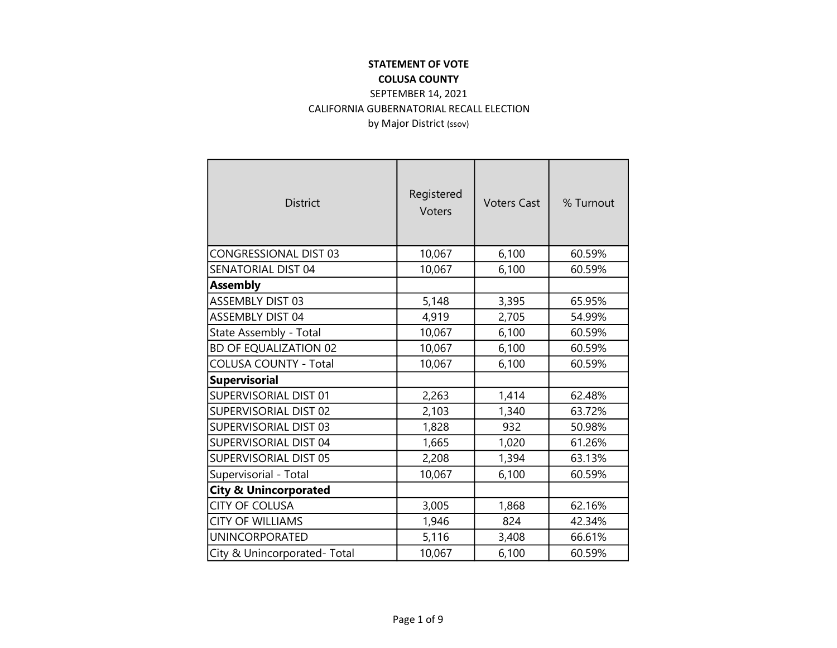#### STATEMENT OF VOTE COLUSA COUNTY

### SEPTEMBER 14, 2021 CALIFORNIA GUBERNATORIAL RECALL ELECTION by Major District (ssov)

| <b>District</b>                  | Registered<br><b>Voters</b> | <b>Voters Cast</b> | % Turnout |
|----------------------------------|-----------------------------|--------------------|-----------|
| CONGRESSIONAL DIST 03            | 10,067                      | 6,100              | 60.59%    |
| SENATORIAL DIST 04               | 10,067                      | 6,100              | 60.59%    |
| <b>Assembly</b>                  |                             |                    |           |
| ASSEMBLY DIST 03                 | 5,148                       | 3,395              | 65.95%    |
| <b>ASSEMBLY DIST 04</b>          | 4,919                       | 2,705              | 54.99%    |
| State Assembly - Total           | 10,067                      | 6,100              | 60.59%    |
| <b>BD OF EQUALIZATION 02</b>     | 10,067                      | 6,100              | 60.59%    |
| <b>COLUSA COUNTY - Total</b>     | 10,067                      | 6,100              | 60.59%    |
| <b>Supervisorial</b>             |                             |                    |           |
| <b>SUPERVISORIAL DIST 01</b>     | 2,263                       | 1,414              | 62.48%    |
| <b>SUPERVISORIAL DIST 02</b>     | 2,103                       | 1,340              | 63.72%    |
| <b>SUPERVISORIAL DIST 03</b>     | 1,828                       | 932                | 50.98%    |
| <b>SUPERVISORIAL DIST 04</b>     | 1,665                       | 1,020              | 61.26%    |
| SUPERVISORIAL DIST 05            | 2,208                       | 1,394              | 63.13%    |
| Supervisorial - Total            | 10,067                      | 6,100              | 60.59%    |
| <b>City &amp; Unincorporated</b> |                             |                    |           |
| <b>CITY OF COLUSA</b>            | 3,005                       | 1,868              | 62.16%    |
| <b>CITY OF WILLIAMS</b>          | 1,946                       | 824                | 42.34%    |
| UNINCORPORATED                   | 5,116                       | 3,408              | 66.61%    |
| City & Unincorporated-Total      | 10,067                      | 6,100              | 60.59%    |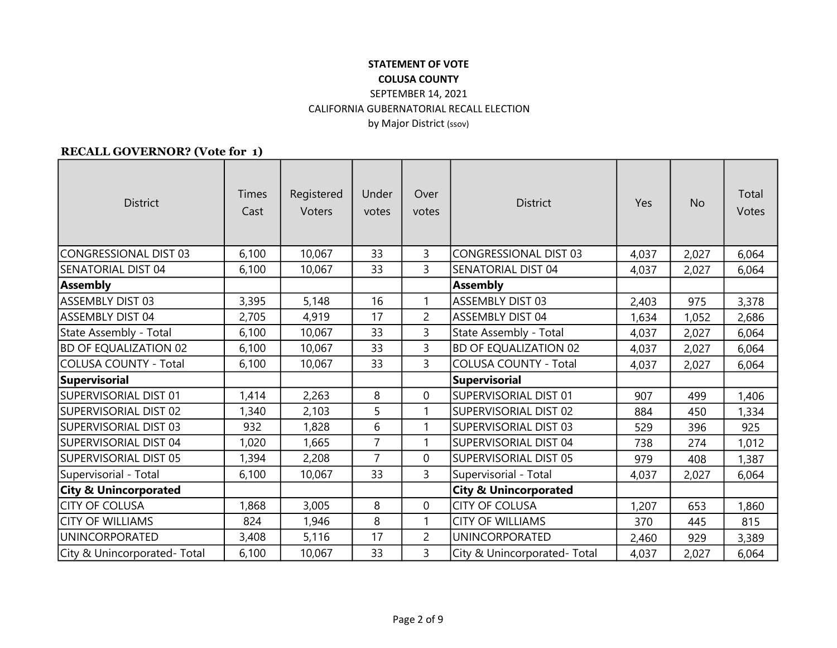#### RECALL GOVERNOR? (Vote for 1)

| <b>District</b>                  | Times<br>Cast | Registered<br>Voters | Under<br>votes | Over<br>votes  | <b>District</b>                  | Yes   | <b>No</b> | Total<br>Votes |
|----------------------------------|---------------|----------------------|----------------|----------------|----------------------------------|-------|-----------|----------------|
| CONGRESSIONAL DIST 03            | 6,100         | 10,067               | 33             | 3              | <b>CONGRESSIONAL DIST 03</b>     | 4,037 | 2,027     | 6,064          |
| SENATORIAL DIST 04               | 6,100         | 10,067               | 33             | $\overline{3}$ | <b>SENATORIAL DIST 04</b>        | 4,037 | 2,027     | 6,064          |
| <b>Assembly</b>                  |               |                      |                |                | <b>Assembly</b>                  |       |           |                |
| <b>ASSEMBLY DIST 03</b>          | 3,395         | 5,148                | 16             | 1              | <b>ASSEMBLY DIST 03</b>          | 2,403 | 975       | 3,378          |
| <b>ASSEMBLY DIST 04</b>          | 2,705         | 4,919                | 17             | $\overline{2}$ | <b>ASSEMBLY DIST 04</b>          | 1,634 | 1,052     | 2,686          |
| State Assembly - Total           | 6,100         | 10,067               | 33             | 3              | State Assembly - Total           | 4,037 | 2,027     | 6,064          |
| <b>BD OF EQUALIZATION 02</b>     | 6,100         | 10,067               | 33             | 3              | <b>BD OF EQUALIZATION 02</b>     | 4,037 | 2,027     | 6,064          |
| <b>COLUSA COUNTY - Total</b>     | 6,100         | 10,067               | 33             | 3              | <b>COLUSA COUNTY - Total</b>     | 4,037 | 2,027     | 6,064          |
| <b>Supervisorial</b>             |               |                      |                |                | <b>Supervisorial</b>             |       |           |                |
| <b>SUPERVISORIAL DIST 01</b>     | 1,414         | 2,263                | 8              | $\mathbf 0$    | SUPERVISORIAL DIST 01            | 907   | 499       | 1,406          |
| SUPERVISORIAL DIST 02            | 1,340         | 2,103                | 5              | 1              | SUPERVISORIAL DIST 02            | 884   | 450       | 1,334          |
| SUPERVISORIAL DIST 03            | 932           | 1,828                | 6              | $\mathbf{1}$   | SUPERVISORIAL DIST 03            | 529   | 396       | 925            |
| SUPERVISORIAL DIST 04            | 1,020         | 1,665                | $\overline{7}$ | 1              | SUPERVISORIAL DIST 04            | 738   | 274       | 1,012          |
| <b>SUPERVISORIAL DIST 05</b>     | 1,394         | 2,208                | $\overline{7}$ | 0              | SUPERVISORIAL DIST 05            | 979   | 408       | 1,387          |
| Supervisorial - Total            | 6,100         | 10,067               | 33             | 3              | Supervisorial - Total            | 4,037 | 2,027     | 6,064          |
| <b>City &amp; Unincorporated</b> |               |                      |                |                | <b>City &amp; Unincorporated</b> |       |           |                |
| <b>CITY OF COLUSA</b>            | 1,868         | 3,005                | 8              | 0              | <b>CITY OF COLUSA</b>            | 1,207 | 653       | 1,860          |
| <b>CITY OF WILLIAMS</b>          | 824           | 1,946                | 8              | 1              | <b>CITY OF WILLIAMS</b>          | 370   | 445       | 815            |
| <b>UNINCORPORATED</b>            | 3,408         | 5,116                | 17             | $\overline{2}$ | <b>UNINCORPORATED</b>            | 2,460 | 929       | 3,389          |
| City & Unincorporated-Total      | 6,100         | 10,067               | 33             | $\overline{3}$ | City & Unincorporated-Total      | 4,037 | 2,027     | 6,064          |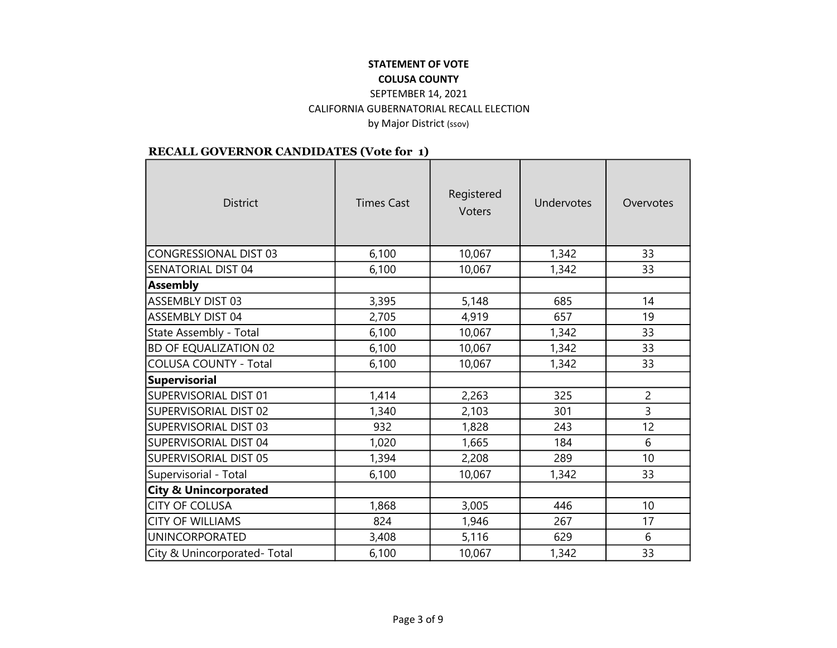# STATEMENT OF VOTE

## COLUSA COUNTY

#### SEPTEMBER 14, 2021 CALIFORNIA GUBERNATORIAL RECALL ELECTION by Major District (ssov)

| <b>District</b>                  | <b>Times Cast</b> | Registered<br><b>Voters</b> | Undervotes | Overvotes      |
|----------------------------------|-------------------|-----------------------------|------------|----------------|
| <b>CONGRESSIONAL DIST 03</b>     | 6,100             | 10,067                      | 1,342      | 33             |
| SENATORIAL DIST 04               | 6,100             | 10,067                      | 1,342      | 33             |
| <b>Assembly</b>                  |                   |                             |            |                |
| ASSEMBLY DIST 03                 | 3,395             | 5,148                       | 685        | 14             |
| <b>ASSEMBLY DIST 04</b>          | 2,705             | 4,919                       | 657        | 19             |
| State Assembly - Total           | 6,100             | 10,067                      | 1,342      | 33             |
| <b>BD OF EQUALIZATION 02</b>     | 6,100             | 10,067                      | 1,342      | 33             |
| <b>COLUSA COUNTY - Total</b>     | 6,100             | 10,067                      | 1,342      | 33             |
| <b>Supervisorial</b>             |                   |                             |            |                |
| SUPERVISORIAL DIST 01            | 1,414             | 2,263                       | 325        | $\overline{2}$ |
| SUPERVISORIAL DIST 02            | 1,340             | 2,103                       | 301        | $\overline{3}$ |
| <b>SUPERVISORIAL DIST 03</b>     | 932               | 1,828                       | 243        | 12             |
| SUPERVISORIAL DIST 04            | 1,020             | 1,665                       | 184        | 6              |
| <b>SUPERVISORIAL DIST 05</b>     | 1,394             | 2,208                       | 289        | 10             |
| Supervisorial - Total            | 6,100             | 10,067                      | 1,342      | 33             |
| <b>City &amp; Unincorporated</b> |                   |                             |            |                |
| <b>CITY OF COLUSA</b>            | 1,868             | 3,005                       | 446        | 10             |
| <b>CITY OF WILLIAMS</b>          | 824               | 1,946                       | 267        | 17             |
| <b>UNINCORPORATED</b>            | 3,408             | 5,116                       | 629        | 6              |
| City & Unincorporated-Total      | 6,100             | 10,067                      | 1,342      | 33             |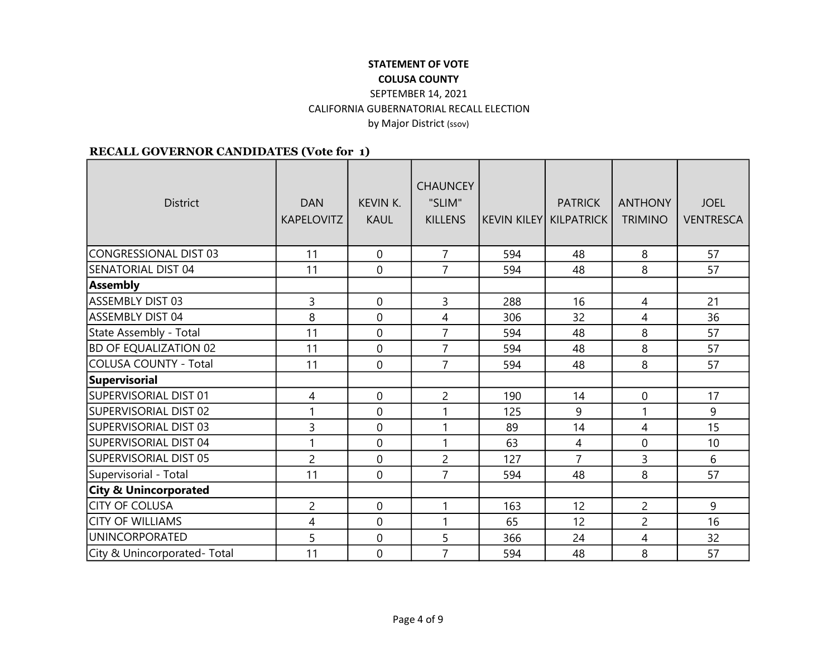| <b>District</b>                  | <b>DAN</b><br><b>KAPELOVITZ</b> | <b>KEVIN K.</b><br><b>KAUL</b> | <b>CHAUNCEY</b><br>"SLIM"<br><b>KILLENS</b> | KEVIN KILEY  KILPATRICK | <b>PATRICK</b> | <b>ANTHONY</b><br><b>TRIMINO</b> | <b>JOEL</b><br><b>VENTRESCA</b> |
|----------------------------------|---------------------------------|--------------------------------|---------------------------------------------|-------------------------|----------------|----------------------------------|---------------------------------|
| <b>CONGRESSIONAL DIST 03</b>     | 11                              | $\mathbf 0$                    | $\overline{7}$                              | 594                     | 48             | 8                                | 57                              |
| SENATORIAL DIST 04               | 11                              | 0                              | $\overline{7}$                              | 594                     | 48             | 8                                | 57                              |
| <b>Assembly</b>                  |                                 |                                |                                             |                         |                |                                  |                                 |
| <b>ASSEMBLY DIST 03</b>          | 3                               | 0                              | 3                                           | 288                     | 16             | $\overline{4}$                   | 21                              |
| <b>ASSEMBLY DIST 04</b>          | 8                               | 0                              | 4                                           | 306                     | 32             | 4                                | 36                              |
| State Assembly - Total           | 11                              | 0                              | $\overline{7}$                              | 594                     | 48             | 8                                | 57                              |
| BD OF EQUALIZATION 02            | 11                              | 0                              | $\overline{7}$                              | 594                     | 48             | 8                                | 57                              |
| <b>COLUSA COUNTY - Total</b>     | 11                              | $\mathbf 0$                    | $\overline{7}$                              | 594                     | 48             | 8                                | 57                              |
| <b>Supervisorial</b>             |                                 |                                |                                             |                         |                |                                  |                                 |
| SUPERVISORIAL DIST 01            | 4                               | $\mathbf 0$                    | $\overline{2}$                              | 190                     | 14             | $\mathbf 0$                      | 17                              |
| SUPERVISORIAL DIST 02            | 1                               | 0                              | 1                                           | 125                     | 9              | $\mathbf{1}$                     | 9                               |
| SUPERVISORIAL DIST 03            | 3                               | $\overline{0}$                 | $\mathbf{1}$                                | 89                      | 14             | $\overline{4}$                   | 15                              |
| SUPERVISORIAL DIST 04            | 1                               | 0                              | $\mathbf{1}$                                | 63                      | 4              | 0                                | 10                              |
| SUPERVISORIAL DIST 05            | $\overline{2}$                  | 0                              | $\overline{2}$                              | 127                     | $\overline{7}$ | 3                                | 6                               |
| Supervisorial - Total            | 11                              | $\overline{0}$                 | $\overline{7}$                              | 594                     | 48             | 8                                | 57                              |
| <b>City &amp; Unincorporated</b> |                                 |                                |                                             |                         |                |                                  |                                 |
| <b>CITY OF COLUSA</b>            | $\overline{2}$                  | $\Omega$                       | 1                                           | 163                     | 12             | $\overline{2}$                   | 9                               |
| <b>CITY OF WILLIAMS</b>          | 4                               | 0                              | 1                                           | 65                      | 12             | $\overline{c}$                   | 16                              |
| <b>UNINCORPORATED</b>            | 5                               | 0                              | 5                                           | 366                     | 24             | 4                                | 32                              |
| City & Unincorporated- Total     | 11                              | $\overline{0}$                 | $\overline{7}$                              | 594                     | 48             | 8                                | 57                              |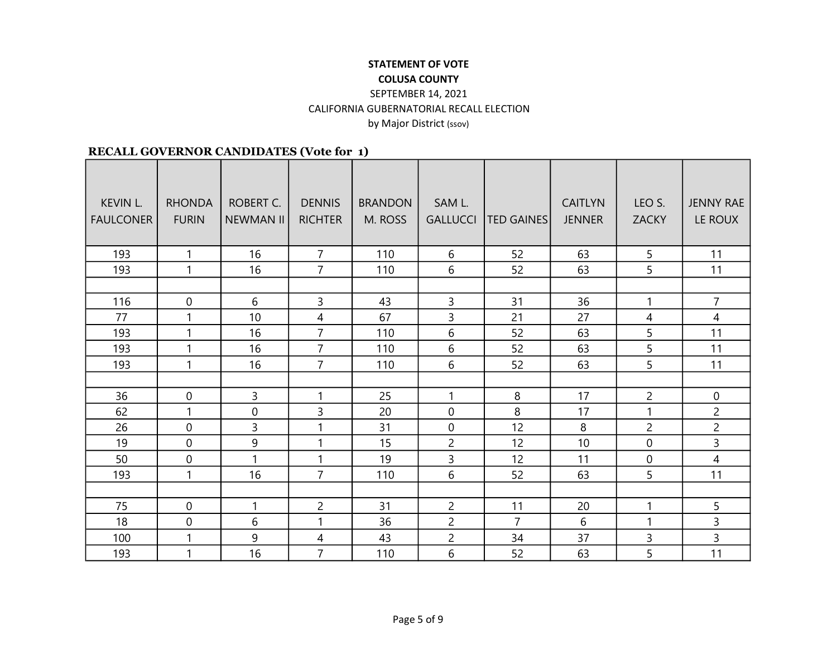| <b>KEVIN L.</b><br><b>FAULCONER</b> | <b>RHONDA</b><br><b>FURIN</b> | ROBERT C.<br><b>NEWMAN II</b> | <b>DENNIS</b><br><b>RICHTER</b> | <b>BRANDON</b><br>M. ROSS | SAM L.<br><b>GALLUCCI</b> | <b>TED GAINES</b> | <b>CAITLYN</b><br><b>JENNER</b> | LEO S.<br><b>ZACKY</b> | <b>JENNY RAE</b><br>LE ROUX |
|-------------------------------------|-------------------------------|-------------------------------|---------------------------------|---------------------------|---------------------------|-------------------|---------------------------------|------------------------|-----------------------------|
|                                     |                               |                               |                                 |                           |                           |                   |                                 |                        |                             |
| 193                                 | $\mathbf{1}$                  | 16                            | $\overline{7}$                  | 110                       | 6                         | 52                | 63                              | $\overline{5}$         | 11                          |
| 193                                 | $\mathbf{1}$                  | 16                            | $\overline{7}$                  | 110                       | 6                         | 52                | 63                              | 5                      | 11                          |
|                                     |                               |                               |                                 |                           |                           |                   |                                 |                        |                             |
| 116                                 | $\mathbf 0$                   | 6                             | 3                               | 43                        | 3                         | 31                | 36                              | $\mathbf{1}$           | $\overline{7}$              |
| 77                                  | 1                             | 10                            | $\overline{4}$                  | 67                        | 3                         | 21                | 27                              | 4                      | 4                           |
| 193                                 | 1                             | 16                            | $\overline{7}$                  | 110                       | 6                         | 52                | 63                              | 5                      | 11                          |
| 193                                 | 1                             | 16                            | $\overline{7}$                  | 110                       | 6                         | 52                | 63                              | 5                      | 11                          |
| 193                                 | $\mathbf{1}$                  | 16                            | $\overline{7}$                  | 110                       | 6                         | 52                | 63                              | 5                      | 11                          |
|                                     |                               |                               |                                 |                           |                           |                   |                                 |                        |                             |
| 36                                  | $\mathbf 0$                   | 3                             | $\mathbf{1}$                    | 25                        | $\mathbf{1}$              | 8                 | 17                              | $\overline{c}$         | $\overline{0}$              |
| 62                                  | $\mathbf{1}$                  | $\overline{0}$                | 3                               | 20                        | $\mathbf 0$               | 8                 | 17                              | $\mathbf{1}$           | $\overline{2}$              |
| 26                                  | $\mathbf 0$                   | 3                             | $\mathbf{1}$                    | 31                        | $\mathbf 0$               | 12                | 8                               | $\overline{c}$         | $\overline{2}$              |
| 19                                  | $\mathbf 0$                   | 9                             | $\mathbf{1}$                    | 15                        | $\overline{2}$            | 12                | 10                              | $\overline{0}$         | 3                           |
| 50                                  | $\mathbf 0$                   | $\mathbf{1}$                  | $\mathbf{1}$                    | 19                        | 3                         | 12                | 11                              | $\mathbf 0$            | 4                           |
| 193                                 | 1                             | 16                            | $\overline{7}$                  | 110                       | 6                         | 52                | 63                              | 5                      | 11                          |
|                                     |                               |                               |                                 |                           |                           |                   |                                 |                        |                             |
| 75                                  | $\mathbf{0}$                  | 1                             | $\overline{2}$                  | 31                        | $\overline{2}$            | 11                | 20                              | $\mathbf{1}$           | 5                           |
| 18                                  | 0                             | 6                             | $\mathbf{1}$                    | 36                        | $\overline{2}$            | $\overline{7}$    | 6                               | 1                      | $\overline{3}$              |
| 100                                 | $\mathbf{1}$                  | 9                             | 4                               | 43                        | $\overline{2}$            | 34                | 37                              | 3                      | $\overline{3}$              |
| 193                                 | 1                             | 16                            | $\overline{7}$                  | 110                       | 6                         | 52                | 63                              | 5                      | 11                          |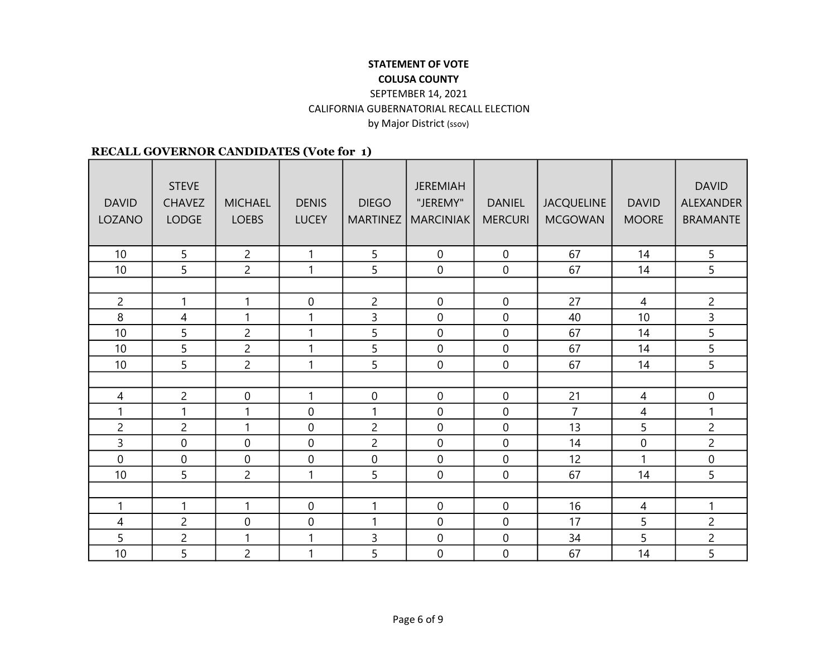| <b>DAVID</b><br>LOZANO | <b>STEVE</b><br><b>CHAVEZ</b><br><b>LODGE</b> | <b>MICHAEL</b><br><b>LOEBS</b> | <b>DENIS</b><br><b>LUCEY</b> | <b>DIEGO</b><br><b>MARTINEZ</b> | <b>JEREMIAH</b><br>"JEREMY"<br>MARCINIAK | <b>DANIEL</b><br><b>MERCURI</b> | <b>JACQUELINE</b><br><b>MCGOWAN</b> | <b>DAVID</b><br><b>MOORE</b> | <b>DAVID</b><br><b>ALEXANDER</b><br><b>BRAMANTE</b> |
|------------------------|-----------------------------------------------|--------------------------------|------------------------------|---------------------------------|------------------------------------------|---------------------------------|-------------------------------------|------------------------------|-----------------------------------------------------|
| 10                     | 5                                             | $\overline{2}$                 | 1                            | 5                               | $\mathbf 0$                              | $\mathbf 0$                     | 67                                  | 14                           | 5                                                   |
| 10                     | 5                                             | $\overline{2}$                 | 1                            | 5                               | $\mathbf 0$                              | $\mathbf 0$                     | 67                                  | 14                           | 5 <sup>1</sup>                                      |
|                        |                                               |                                |                              |                                 |                                          |                                 |                                     |                              |                                                     |
| $\overline{2}$         | $\mathbf{1}$                                  | $\mathbf{1}$                   | 0                            | $\overline{c}$                  | $\mathbf 0$                              | $\overline{0}$                  | 27                                  | $\overline{4}$               | $\overline{c}$                                      |
| 8                      | 4                                             | 1                              |                              | 3                               | $\mathbf 0$                              | $\mathbf 0$                     | 40                                  | 10                           | $\overline{3}$                                      |
| 10                     | 5                                             | $\overline{2}$                 | 1                            | 5                               | $\mathbf 0$                              | $\mathbf 0$                     | 67                                  | 14                           | 5                                                   |
| 10                     | 5                                             | $\overline{2}$                 |                              | 5                               | $\mathbf 0$                              | $\mathbf 0$                     | 67                                  | 14                           | 5                                                   |
| 10                     | 5                                             | $\overline{2}$                 | 1                            | 5                               | $\mathbf 0$                              | $\mathbf 0$                     | 67                                  | 14                           | 5                                                   |
|                        |                                               |                                |                              |                                 |                                          |                                 |                                     |                              |                                                     |
| $\overline{4}$         | $\overline{c}$                                | $\boldsymbol{0}$               | $\mathbf{1}$                 | $\pmb{0}$                       | $\boldsymbol{0}$                         | $\boldsymbol{0}$                | 21                                  | $\overline{4}$               | $\mathbf 0$                                         |
| 1                      | $\mathbf{1}$                                  | 1                              | $\mathbf 0$                  | $\mathbf{1}$                    | $\mathbf 0$                              | $\mathbf 0$                     | $\overline{7}$                      | $\overline{4}$               | $\mathbf{1}$                                        |
| $\overline{c}$         | $\overline{c}$                                | $\mathbf{1}$                   | $\mathbf 0$                  | $\overline{c}$                  | $\mathbf 0$                              | $\mathbf 0$                     | 13                                  | 5                            | $\overline{c}$                                      |
| 3                      | $\mathbf 0$                                   | 0                              | $\overline{0}$               | $\overline{c}$                  | $\mathbf 0$                              | $\mathbf 0$                     | 14                                  | $\mathbf 0$                  | $\overline{c}$                                      |
| $\overline{0}$         | $\mathbf 0$                                   | $\mathbf 0$                    | $\mathbf 0$                  | $\boldsymbol{0}$                | $\overline{0}$                           | $\overline{0}$                  | 12                                  | 1                            | $\mathbf 0$                                         |
| 10                     | 5 <sup>5</sup>                                | $\overline{2}$                 | $\mathbf{1}$                 | 5                               | $\mathbf 0$                              | $\mathbf 0$                     | 67                                  | 14                           | 5                                                   |
|                        |                                               |                                |                              |                                 |                                          |                                 |                                     |                              |                                                     |
| 1                      | $\mathbf{1}$                                  | $\mathbf{1}$                   | $\mathbf 0$                  | 1                               | $\mathbf 0$                              | $\mathbf 0$                     | 16                                  | 4                            | 1                                                   |
| 4                      | $\overline{2}$                                | 0                              | $\mathbf 0$                  | 1                               | $\mathbf 0$                              | $\mathbf 0$                     | 17                                  | 5                            | $\overline{c}$                                      |
| 5                      | $\overline{c}$                                | 1                              |                              | 3                               | $\mathbf 0$                              | $\mathbf 0$                     | 34                                  | 5                            | $\overline{c}$                                      |
| 10                     | 5                                             | $\overline{c}$                 | 1                            | 5                               | $\mathbf 0$                              | $\mathbf 0$                     | 67                                  | 14                           | 5                                                   |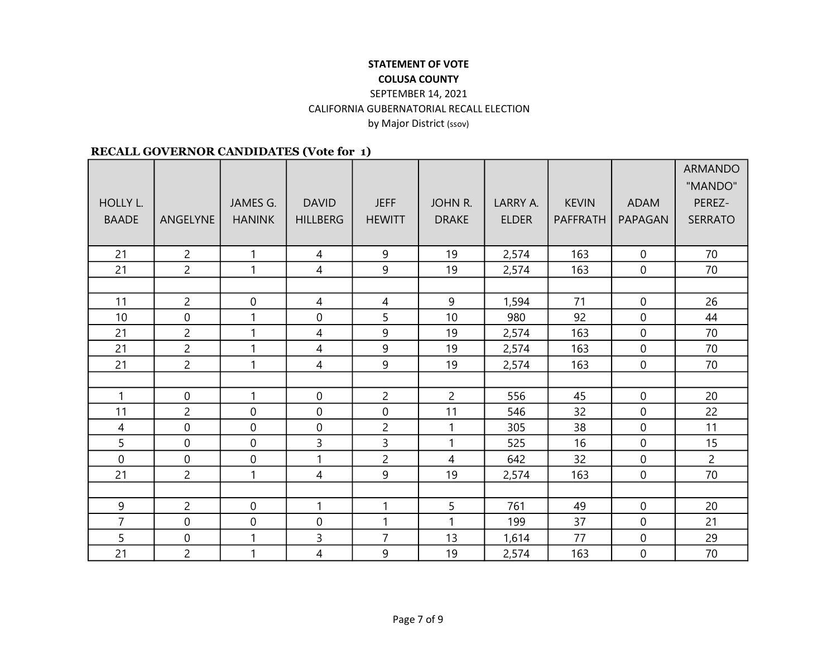|                |                  |                  |                  |                  |                |              |              |                  | <b>ARMANDO</b> |
|----------------|------------------|------------------|------------------|------------------|----------------|--------------|--------------|------------------|----------------|
|                |                  |                  |                  |                  |                |              |              |                  | "MANDO"        |
| HOLLY L.       |                  | JAMES G.         | <b>DAVID</b>     | <b>JEFF</b>      | <b>JOHN R.</b> | LARRY A.     | <b>KEVIN</b> | <b>ADAM</b>      | PEREZ-         |
| <b>BAADE</b>   | ANGELYNE         | <b>HANINK</b>    | <b>HILLBERG</b>  | <b>HEWITT</b>    | <b>DRAKE</b>   | <b>ELDER</b> | PAFFRATH     | PAPAGAN          | <b>SERRATO</b> |
|                |                  |                  |                  |                  |                |              |              |                  |                |
| 21             | $\overline{c}$   | $\mathbf{1}$     | 4                | 9                | 19             | 2,574        | 163          | $\mathbf 0$      | 70             |
| 21             | $\overline{2}$   | 1                | $\overline{4}$   | 9                | 19             | 2,574        | 163          | $\mathbf 0$      | 70             |
|                |                  |                  |                  |                  |                |              |              |                  |                |
| 11             | $\overline{c}$   | $\boldsymbol{0}$ | 4                | 4                | 9              | 1,594        | 71           | $\mathbf 0$      | 26             |
| 10             | $\mathbf 0$      | $\mathbf{1}$     | 0                | 5                | 10             | 980          | 92           | $\overline{0}$   | 44             |
| 21             | $\overline{c}$   | $\mathbf{1}$     | 4                | 9                | 19             | 2,574        | 163          | $\mathbf 0$      | 70             |
| 21             | $\overline{2}$   | 1                | 4                | 9                | 19             | 2,574        | 163          | $\mathbf{0}$     | 70             |
| 21             | $\overline{2}$   | $\mathbf{1}$     | $\overline{4}$   | 9                | 19             | 2,574        | 163          | $\mathbf 0$      | 70             |
|                |                  |                  |                  |                  |                |              |              |                  |                |
| $\mathbf{1}$   | $\boldsymbol{0}$ | $\mathbf{1}$     | $\boldsymbol{0}$ | $\overline{c}$   | $\overline{c}$ | 556          | 45           | $\mathbf 0$      | 20             |
| 11             | $\overline{c}$   | $\boldsymbol{0}$ | $\boldsymbol{0}$ | $\boldsymbol{0}$ | 11             | 546          | 32           | $\mathbf 0$      | 22             |
| $\overline{4}$ | $\boldsymbol{0}$ | $\mathbf 0$      | 0                | $\overline{c}$   | 1              | 305          | 38           | $\mathbf 0$      | 11             |
| 5              | $\mathbf 0$      | $\boldsymbol{0}$ | 3                | 3                | $\mathbf{1}$   | 525          | 16           | $\mathbf 0$      | 15             |
| $\mathbf 0$    | $\mathbf 0$      | $\mathbf 0$      | $\mathbf{1}$     | $\overline{2}$   | $\overline{4}$ | 642          | 32           | $\mathbf 0$      | $\overline{2}$ |
| 21             | $\overline{2}$   | $\mathbf{1}$     | 4                | 9                | 19             | 2,574        | 163          | $\overline{0}$   | 70             |
|                |                  |                  |                  |                  |                |              |              |                  |                |
| 9              | $\overline{c}$   | $\mathbf 0$      | $\mathbf{1}$     | 1                | 5              | 761          | 49           | $\mathbf{0}$     | 20             |
| $\overline{7}$ | $\boldsymbol{0}$ | $\boldsymbol{0}$ | $\boldsymbol{0}$ | 1                | 1              | 199          | 37           | $\mathbf 0$      | 21             |
| 5              | $\pmb{0}$        | $\mathbf{1}$     | 3                | $\overline{7}$   | 13             | 1,614        | 77           | $\overline{0}$   | 29             |
| 21             | $\overline{c}$   | $\mathbf{1}$     | 4                | 9                | 19             | 2,574        | 163          | $\boldsymbol{0}$ | 70             |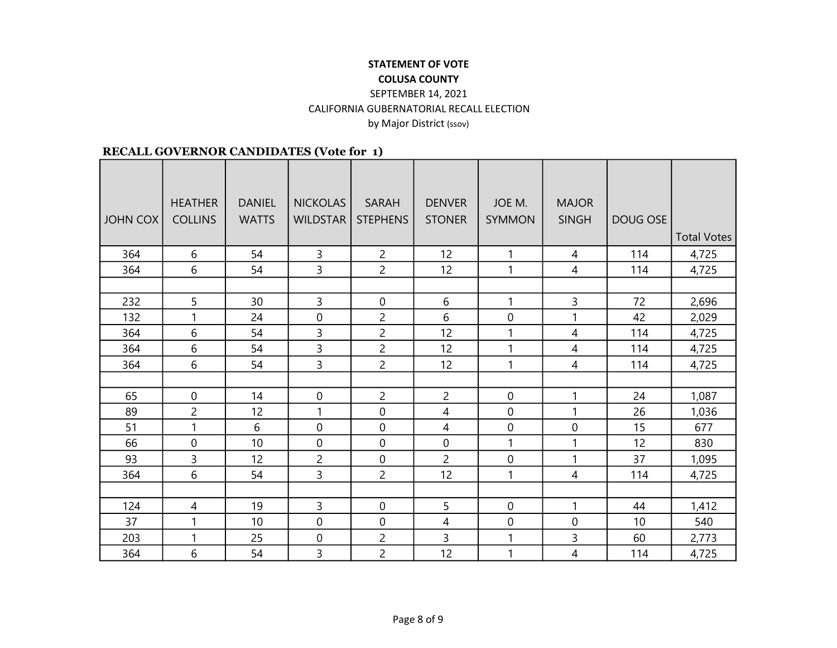## STATEMENT OF VOTE COLUSA COUNTY SEPTEMBER 14, 2021

CALIFORNIA GUBERNATORIAL RECALL ELECTION

by Major District (ssov)

|                 | <b>HEATHER</b> | <b>DANIEL</b> | <b>NICKOLAS</b>  | <b>SARAH</b>    | <b>DENVER</b>  | JOE M.        | <b>MAJOR</b> |          |                    |
|-----------------|----------------|---------------|------------------|-----------------|----------------|---------------|--------------|----------|--------------------|
| <b>JOHN COX</b> | <b>COLLINS</b> | <b>WATTS</b>  | <b>WILDSTAR</b>  | <b>STEPHENS</b> | <b>STONER</b>  | <b>SYMMON</b> | <b>SINGH</b> | DOUG OSE |                    |
|                 |                |               |                  |                 |                |               |              |          | <b>Total Votes</b> |
|                 |                |               |                  |                 |                |               |              |          |                    |
| 364             | 6              | 54            | 3                | $\overline{c}$  | 12             | 1             | 4            | 114      | 4,725              |
| 364             | 6              | 54            | $\overline{3}$   | $\overline{2}$  | 12             | $\mathbf{1}$  | 4            | 114      | 4,725              |
|                 |                |               |                  |                 |                |               |              |          |                    |
| 232             | 5              | 30            | $\overline{3}$   | 0               | 6              | 1             | 3            | 72       | 2,696              |
| 132             | 1              | 24            | $\boldsymbol{0}$ | $\overline{2}$  | 6              | 0             | 1            | 42       | 2,029              |
| 364             | 6              | 54            | $\overline{3}$   | $\overline{2}$  | 12             | 1             | 4            | 114      | 4,725              |
| 364             | 6              | 54            | 3                | $\overline{c}$  | 12             | 1             | 4            | 114      | 4,725              |
| 364             | 6              | 54            | $\overline{3}$   | $\overline{2}$  | 12             | 1             | 4            | 114      | 4,725              |
|                 |                |               |                  |                 |                |               |              |          |                    |
| 65              | $\pmb{0}$      | 14            | $\pmb{0}$        | $\overline{c}$  | $\overline{c}$ | 0             | 1            | 24       | 1,087              |
| 89              | $\overline{c}$ | 12            | 1                | 0               | 4              | 0             | 1            | 26       | 1,036              |
| 51              | $\mathbf{1}$   | 6             | $\mathbf 0$      | 0               | $\overline{4}$ | 0             | $\mathbf 0$  | 15       | 677                |
| 66              | 0              | 10            | $\overline{0}$   | 0               | $\mathbf 0$    | $\mathbf{1}$  | 1            | 12       | 830                |
| 93              | 3              | 12            | $\overline{c}$   | 0               | $\overline{2}$ | 0             | 1            | 37       | 1,095              |
| 364             | 6              | 54            | $\overline{3}$   | $\overline{2}$  | 12             | 1             | 4            | 114      | 4,725              |
|                 |                |               |                  |                 |                |               |              |          |                    |
| 124             | 4              | 19            | $\overline{3}$   | 0               | 5              | 0             | 1            | 44       | 1,412              |
| 37              | 1              | 10            | $\mathbf 0$      | 0               | 4              | 0             | 0            | 10       | 540                |
| 203             | 1              | 25            | 0                | 2               | 3              | 1             | 3            | 60       | 2,773              |
| 364             | 6              | 54            | 3                | $\overline{2}$  | 12             | 1             | 4            | 114      | 4,725              |